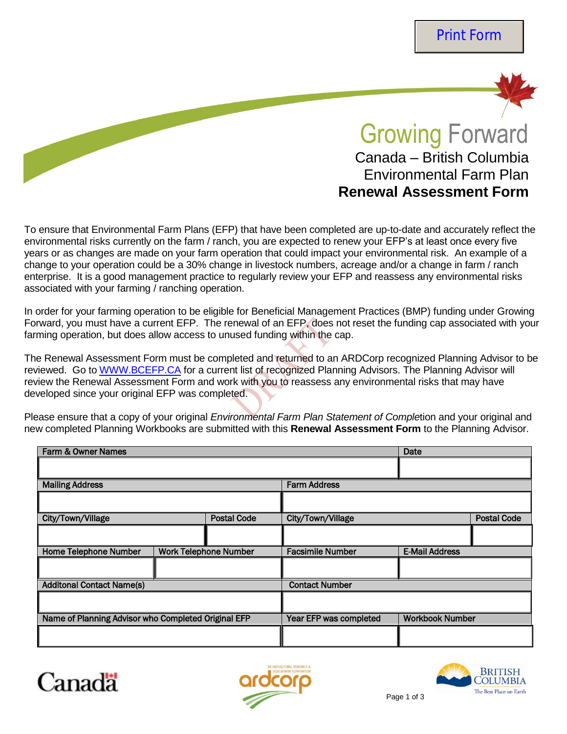

# Growing Forward Canada – British Columbia Environmental Farm Plan **Renewal Assessment Form**

To ensure that Environmental Farm Plans (EFP) that have been completed are up-to-date and accurately reflect the environmental risks currently on the farm / ranch, you are expected to renew your EFP's at least once every five years or as changes are made on your farm operation that could impact your environmental risk. An example of a change to your operation could be a 30% change in livestock numbers, acreage and/or a change in farm / ranch enterprise. It is a good management practice to regularly review your EFP and reassess any environmental risks associated with your farming / ranching operation.

In order for your farming operation to be eligible for Beneficial Management Practices (BMP) funding under Growing Forward, you must have a current EFP. The renewal of an EFP, does not reset the funding cap associated with your farming operation, but does allow access to unused funding within the cap.

The Renewal Assessment Form must be completed and returned to an ARDCorp recognized Planning Advisor to be reviewed. Go to [WWW.BCEFP.CA](http://www.bcefp.ca/) for a current list of recognized Planning Advisors. The Planning Advisor will review the Renewal Assessment Form and work with you to reassess any environmental risks that may have developed since your original EFP was completed.

Please ensure that a copy of your original *Environmental Farm Plan Statement of Comple*tion and your original and new completed Planning Workbooks are submitted with this **Renewal Assessment Form** to the Planning Advisor.

| Farm & Owner Names                                  |                                         |                              |                         | Date                   |  |  |
|-----------------------------------------------------|-----------------------------------------|------------------------------|-------------------------|------------------------|--|--|
|                                                     |                                         |                              |                         |                        |  |  |
| <b>Mailing Address</b>                              |                                         |                              | <b>Farm Address</b>     |                        |  |  |
|                                                     |                                         |                              |                         |                        |  |  |
| City/Town/Village                                   | <b>Postal Code</b><br>City/Town/Village |                              |                         | <b>Postal Code</b>     |  |  |
|                                                     |                                         |                              |                         |                        |  |  |
| <b>Home Telephone Number</b>                        |                                         | <b>Work Telephone Number</b> | <b>Facsimile Number</b> | <b>E-Mail Address</b>  |  |  |
|                                                     |                                         |                              |                         |                        |  |  |
| <b>Additonal Contact Name(s)</b>                    |                                         |                              | <b>Contact Number</b>   |                        |  |  |
|                                                     |                                         |                              |                         |                        |  |  |
| Name of Planning Advisor who Completed Original EFP |                                         |                              | Year EFP was completed  | <b>Workbook Number</b> |  |  |
|                                                     |                                         |                              |                         |                        |  |  |





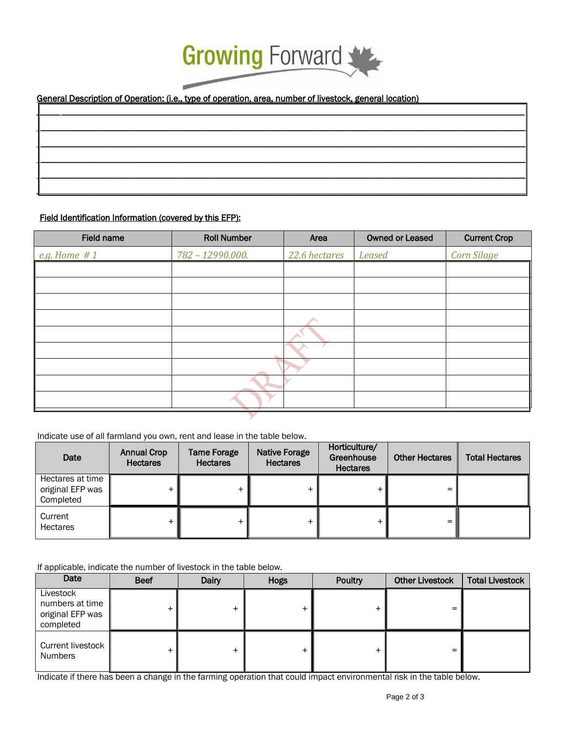

## General Description of Operation: (i.e., type of operation, area, number of livestock, general location)

#### Field Identification Information (covered by this EFP):

| <b>Field name</b> | <b>Roll Number</b> | Area          | <b>Owned or Leased</b> | <b>Current Crop</b> |
|-------------------|--------------------|---------------|------------------------|---------------------|
| e.g. Home $#1$    | 782 - 12990.000.   | 22.6 hectares | <b>Leased</b>          | <b>Corn Silage</b>  |
|                   |                    |               |                        |                     |
|                   |                    |               |                        |                     |
|                   |                    |               |                        |                     |
|                   |                    |               |                        |                     |
|                   |                    |               |                        |                     |
|                   |                    |               |                        |                     |
|                   |                    |               |                        |                     |
|                   |                    |               |                        |                     |
|                   |                    |               |                        |                     |

#### Indicate use of all farmland you own, rent and lease in the table below.

| Date                                              | <b>Annual Crop</b><br><b>Hectares</b> | <b>Tame Forage</b><br><b>Hectares</b> | <b>Native Forage</b><br><b>Hectares</b> | Horticulture/<br>Greenhouse<br><b>Hectares</b> | <b>Other Hectares</b> | <b>Total Hectares</b> |
|---------------------------------------------------|---------------------------------------|---------------------------------------|-----------------------------------------|------------------------------------------------|-----------------------|-----------------------|
| Hectares at time<br>original EFP was<br>Completed |                                       |                                       |                                         |                                                |                       |                       |
| Current<br><b>Hectares</b>                        |                                       |                                       |                                         |                                                |                       |                       |

If applicable, indicate the number of livestock in the table below.

| Date                                                          | <b>Beef</b> | Dairy | <b>Hogs</b> | Poultry | <b>Other Livestock</b> | <b>Total Livestock</b> |
|---------------------------------------------------------------|-------------|-------|-------------|---------|------------------------|------------------------|
| Livestock<br>numbers at time<br>original EFP was<br>completed |             |       |             |         |                        |                        |
| Current livestock<br><b>Numbers</b>                           | +           |       |             |         |                        |                        |

Indicate if there has been a change in the farming operation that could impact environmental risk in the table below.